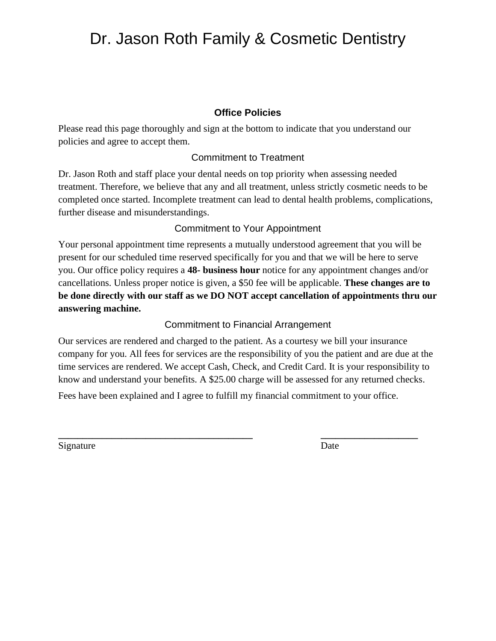# Dr. Jason Roth Family & Cosmetic Dentistry

#### **Office Policies**

Please read this page thoroughly and sign at the bottom to indicate that you understand our policies and agree to accept them.

#### Commitment to Treatment

Dr. Jason Roth and staff place your dental needs on top priority when assessing needed treatment. Therefore, we believe that any and all treatment, unless strictly cosmetic needs to be completed once started. Incomplete treatment can lead to dental health problems, complications, further disease and misunderstandings.

#### Commitment to Your Appointment

Your personal appointment time represents a mutually understood agreement that you will be present for our scheduled time reserved specifically for you and that we will be here to serve you. Our office policy requires a **48- business hour** notice for any appointment changes and/or cancellations. Unless proper notice is given, a \$50 fee will be applicable. **These changes are to be done directly with our staff as we DO NOT accept cancellation of appointments thru our answering machine.**

#### Commitment to Financial Arrangement

Our services are rendered and charged to the patient. As a courtesy we bill your insurance company for you. All fees for services are the responsibility of you the patient and are due at the time services are rendered. We accept Cash, Check, and Credit Card. It is your responsibility to know and understand your benefits. A \$25.00 charge will be assessed for any returned checks.

Fees have been explained and I agree to fulfill my financial commitment to your office.

**\_\_\_\_\_\_\_\_\_\_\_\_\_\_\_\_\_\_\_\_\_\_\_\_\_\_\_\_\_\_\_\_\_\_\_\_\_\_\_\_ \_\_\_\_\_\_\_\_\_\_\_\_\_\_\_\_\_\_\_\_**

Signature Date